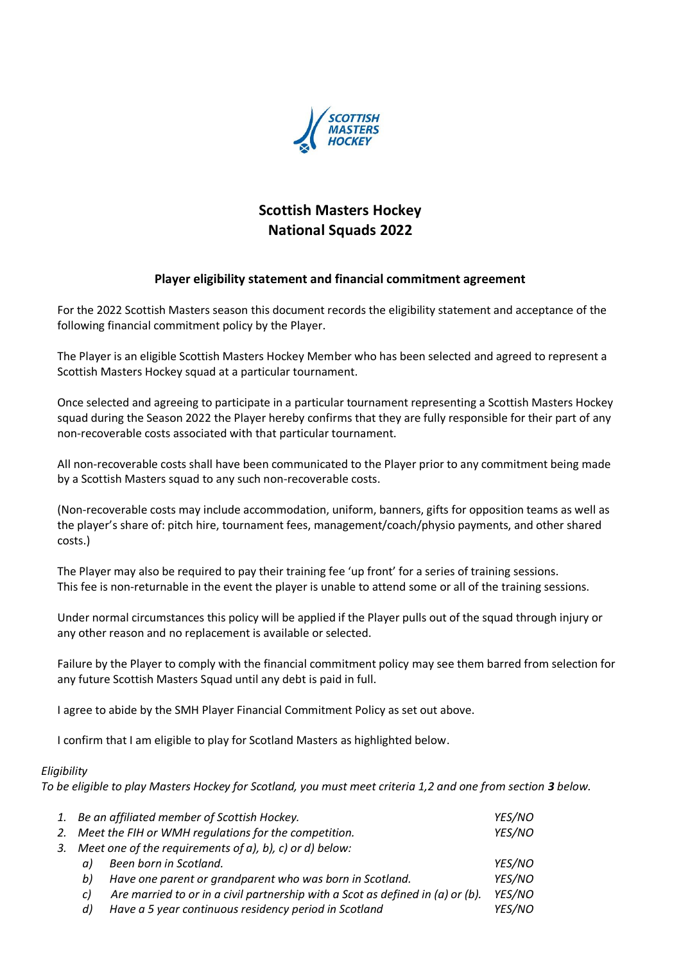

## **Scottish Masters Hockey National Squads 2022**

## **Player eligibility statement and financial commitment agreement**

For the 2022 Scottish Masters season this document records the eligibility statement and acceptance of the following financial commitment policy by the Player.

The Player is an eligible Scottish Masters Hockey Member who has been selected and agreed to represent a Scottish Masters Hockey squad at a particular tournament.

Once selected and agreeing to participate in a particular tournament representing a Scottish Masters Hockey squad during the Season 2022 the Player hereby confirms that they are fully responsible for their part of any non-recoverable costs associated with that particular tournament.

All non-recoverable costs shall have been communicated to the Player prior to any commitment being made by a Scottish Masters squad to any such non-recoverable costs.

(Non-recoverable costs may include accommodation, uniform, banners, gifts for opposition teams as well as the player's share of: pitch hire, tournament fees, management/coach/physio payments, and other shared costs.)

The Player may also be required to pay their training fee 'up front' for a series of training sessions. This fee is non-returnable in the event the player is unable to attend some or all of the training sessions.

Under normal circumstances this policy will be applied if the Player pulls out of the squad through injury or any other reason and no replacement is available or selected.

Failure by the Player to comply with the financial commitment policy may see them barred from selection for any future Scottish Masters Squad until any debt is paid in full.

I agree to abide by the SMH Player Financial Commitment Policy as set out above.

I confirm that I am eligible to play for Scotland Masters as highlighted below.

## *Eligibility*

*To be eligible to play Masters Hockey for Scotland, you must meet criteria 1,2 and one from section 3 below.* 

|    | 1. Be an affiliated member of Scottish Hockey.          |                                                                                | YES/NO |
|----|---------------------------------------------------------|--------------------------------------------------------------------------------|--------|
|    |                                                         | 2. Meet the FIH or WMH regulations for the competition.                        | YES/NO |
| 3. | Meet one of the requirements of a), b), c) or d) below: |                                                                                |        |
|    | αI                                                      | Been born in Scotland.                                                         | YES/NO |
|    | bI                                                      | Have one parent or grandparent who was born in Scotland.                       | YES/NO |
|    | C)                                                      | Are married to or in a civil partnership with a Scot as defined in (a) or (b). | YES/NO |
|    | d)                                                      | Have a 5 year continuous residency period in Scotland                          | YES/NO |